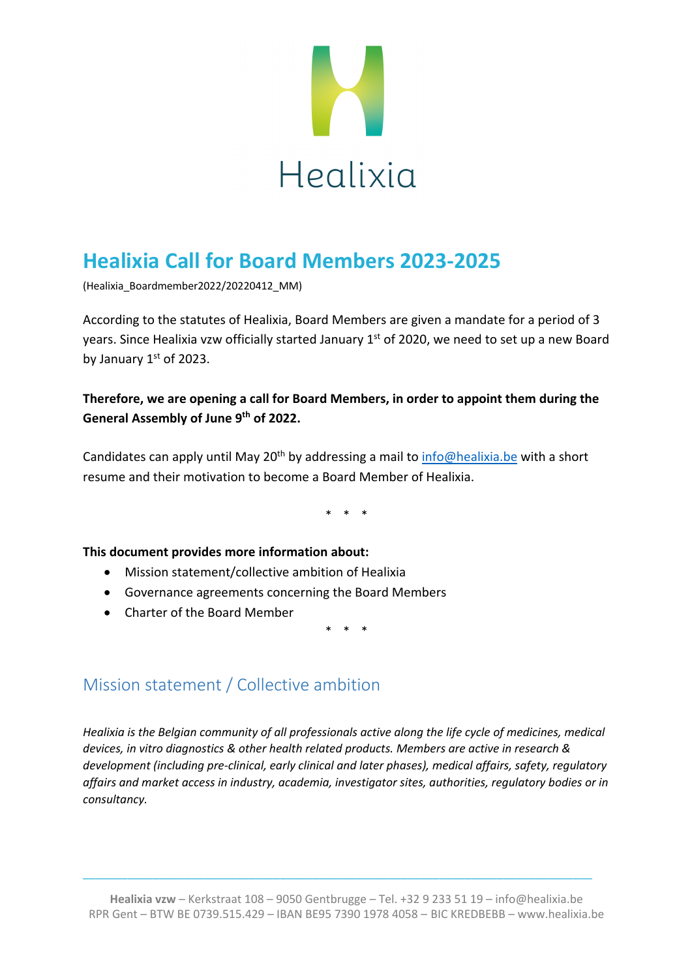

# **Healixia Call for Board Members 2023-2025**

(Healixia\_Boardmember2022/20220412\_MM)

According to the statutes of Healixia, Board Members are given a mandate for a period of 3 years. Since Healixia vzw officially started January 1<sup>st</sup> of 2020, we need to set up a new Board by January  $1<sup>st</sup>$  of 2023.

#### **Therefore, we are opening a call for Board Members, in order to appoint them during the General Assembly of June 9th of 2022.**

Candidates can apply until May 20<sup>th</sup> by addressing a mail to info@healixia.be with a short resume and their motivation to become a Board Member of Healixia.

\* \* \*

#### **This document provides more information about:**

- Mission statement/collective ambition of Healixia
- Governance agreements concerning the Board Members
- Charter of the Board Member

\* \* \*

### Mission statement / Collective ambition

*Healixia is the Belgian community of all professionals active along the life cycle of medicines, medical devices, in vitro diagnostics & other health related products. Members are active in research & development (including pre-clinical, early clinical and later phases), medical affairs, safety, regulatory affairs and market access in industry, academia, investigator sites, authorities, regulatory bodies or in consultancy.*

\_\_\_\_\_\_\_\_\_\_\_\_\_\_\_\_\_\_\_\_\_\_\_\_\_\_\_\_\_\_\_\_\_\_\_\_\_\_\_\_\_\_\_\_\_\_\_\_\_\_\_\_\_\_\_\_\_\_\_\_\_\_\_\_\_\_\_\_\_\_\_\_\_\_\_\_\_\_\_\_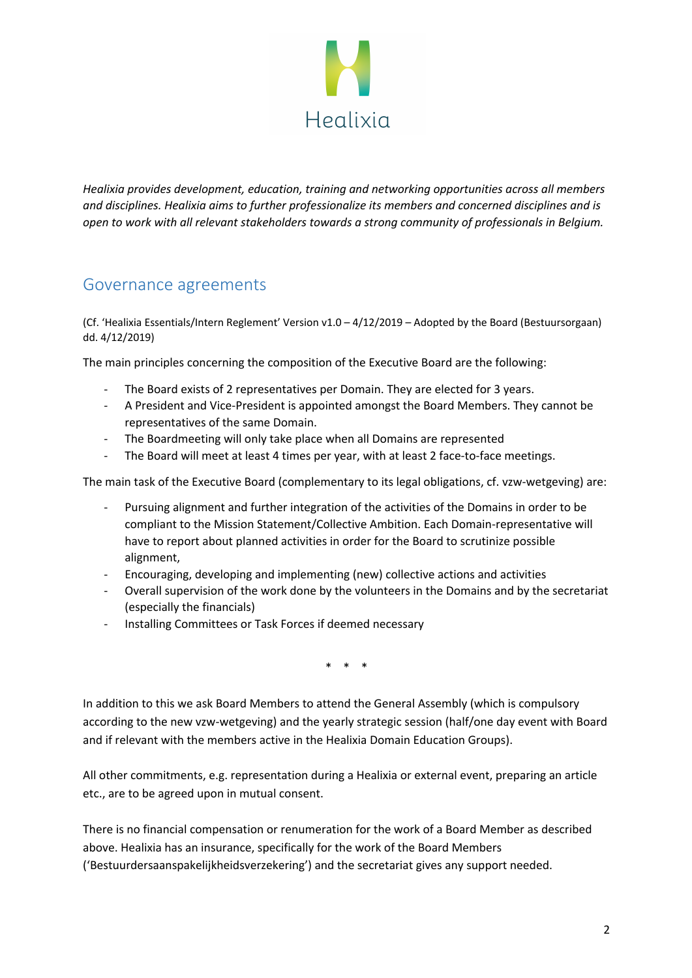

*Healixia provides development, education, training and networking opportunities across all members and disciplines. Healixia aims to further professionalize its members and concerned disciplines and is open to work with all relevant stakeholders towards a strong community of professionals in Belgium.*

#### Governance agreements

(Cf. 'Healixia Essentials/Intern Reglement' Version v1.0 – 4/12/2019 – Adopted by the Board (Bestuursorgaan) dd. 4/12/2019)

The main principles concerning the composition of the Executive Board are the following:

- The Board exists of 2 representatives per Domain. They are elected for 3 years.
- A President and Vice-President is appointed amongst the Board Members. They cannot be representatives of the same Domain.
- The Boardmeeting will only take place when all Domains are represented
- The Board will meet at least 4 times per year, with at least 2 face-to-face meetings.

The main task of the Executive Board (complementary to its legal obligations, cf. vzw-wetgeving) are:

- Pursuing alignment and further integration of the activities of the Domains in order to be compliant to the Mission Statement/Collective Ambition. Each Domain-representative will have to report about planned activities in order for the Board to scrutinize possible alignment,
- Encouraging, developing and implementing (new) collective actions and activities
- Overall supervision of the work done by the volunteers in the Domains and by the secretariat (especially the financials)
- Installing Committees or Task Forces if deemed necessary

\* \* \*

In addition to this we ask Board Members to attend the General Assembly (which is compulsory according to the new vzw-wetgeving) and the yearly strategic session (half/one day event with Board and if relevant with the members active in the Healixia Domain Education Groups).

All other commitments, e.g. representation during a Healixia or external event, preparing an article etc., are to be agreed upon in mutual consent.

There is no financial compensation or renumeration for the work of a Board Member as described above. Healixia has an insurance, specifically for the work of the Board Members ('Bestuurdersaanspakelijkheidsverzekering') and the secretariat gives any support needed.